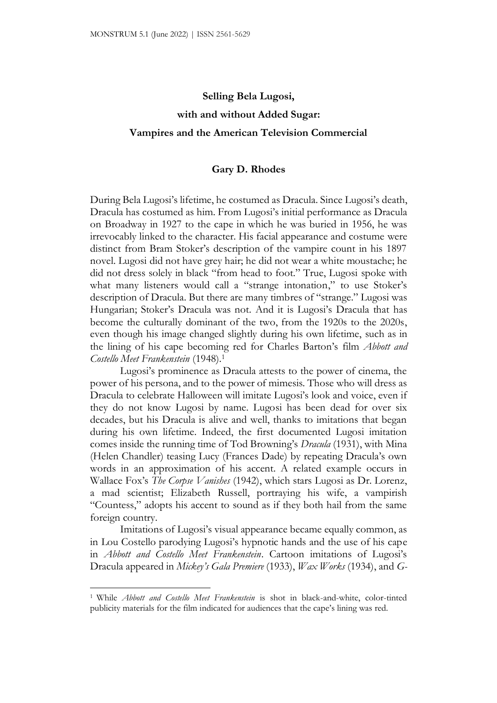## **Selling Bela Lugosi, with and without Added Sugar: Vampires and the American Television Commercial**

## **Gary D. Rhodes**

During Bela Lugosi's lifetime, he costumed as Dracula. Since Lugosi's death, Dracula has costumed as him. From Lugosi's initial performance as Dracula on Broadway in 1927 to the cape in which he was buried in 1956, he was irrevocably linked to the character. His facial appearance and costume were distinct from Bram Stoker's description of the vampire count in his 1897 novel. Lugosi did not have grey hair; he did not wear a white moustache; he did not dress solely in black "from head to foot." True, Lugosi spoke with what many listeners would call a "strange intonation," to use Stoker's description of Dracula. But there are many timbres of "strange." Lugosi was Hungarian; Stoker's Dracula was not. And it is Lugosi's Dracula that has become the culturally dominant of the two, from the 1920s to the 2020s, even though his image changed slightly during his own lifetime, such as in the lining of his cape becoming red for Charles Barton's film *Abbott and Costello Meet Frankenstein* (1948).<sup>1</sup>

Lugosi's prominence as Dracula attests to the power of cinema, the power of his persona, and to the power of mimesis. Those who will dress as Dracula to celebrate Halloween will imitate Lugosi's look and voice, even if they do not know Lugosi by name. Lugosi has been dead for over six decades, but his Dracula is alive and well, thanks to imitations that began during his own lifetime. Indeed, the first documented Lugosi imitation comes inside the running time of Tod Browning's *Dracula* (1931), with Mina (Helen Chandler) teasing Lucy (Frances Dade) by repeating Dracula's own words in an approximation of his accent. A related example occurs in Wallace Fox's *The Corpse Vanishes* (1942), which stars Lugosi as Dr. Lorenz, a mad scientist; Elizabeth Russell, portraying his wife, a vampirish "Countess," adopts his accent to sound as if they both hail from the same foreign country.

Imitations of Lugosi's visual appearance became equally common, as in Lou Costello parodying Lugosi's hypnotic hands and the use of his cape in *Abbott and Costello Meet Frankenstein*. Cartoon imitations of Lugosi's Dracula appeared in *Mickey's Gala Premiere* (1933), *Wax Works* (1934), and *G-*

<sup>1</sup> While *Abbott and Costello Meet Frankenstein* is shot in black-and-white, color-tinted publicity materials for the film indicated for audiences that the cape's lining was red.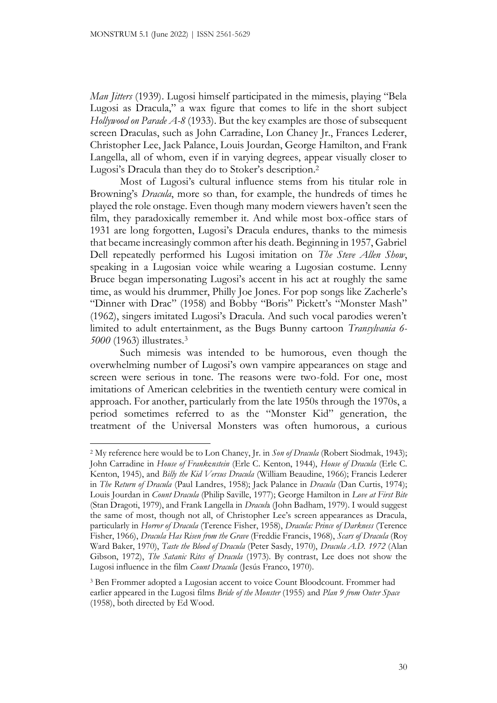*Man Jitters* (1939). Lugosi himself participated in the mimesis, playing "Bela Lugosi as Dracula," a wax figure that comes to life in the short subject *Hollywood on Parade A-8* (1933). But the key examples are those of subsequent screen Draculas, such as John Carradine, Lon Chaney Jr., Frances Lederer, Christopher Lee, Jack Palance, Louis Jourdan, George Hamilton, and Frank Langella, all of whom, even if in varying degrees, appear visually closer to Lugosi's Dracula than they do to Stoker's description.<sup>2</sup>

Most of Lugosi's cultural influence stems from his titular role in Browning's *Dracula*, more so than, for example, the hundreds of times he played the role onstage. Even though many modern viewers haven't seen the film, they paradoxically remember it. And while most box-office stars of 1931 are long forgotten, Lugosi's Dracula endures, thanks to the mimesis that became increasingly common after his death. Beginning in 1957, Gabriel Dell repeatedly performed his Lugosi imitation on *The Steve Allen Show*, speaking in a Lugosian voice while wearing a Lugosian costume. Lenny Bruce began impersonating Lugosi's accent in his act at roughly the same time, as would his drummer, Philly Joe Jones. For pop songs like Zacherle's "Dinner with Drac" (1958) and Bobby "Boris" Pickett's "Monster Mash" (1962), singers imitated Lugosi's Dracula. And such vocal parodies weren't limited to adult entertainment, as the Bugs Bunny cartoon *Transylvania 6- 5000* (1963) illustrates.<sup>3</sup>

Such mimesis was intended to be humorous, even though the overwhelming number of Lugosi's own vampire appearances on stage and screen were serious in tone. The reasons were two-fold. For one, most imitations of American celebrities in the twentieth century were comical in approach. For another, particularly from the late 1950s through the 1970s, a period sometimes referred to as the "Monster Kid" generation, the treatment of the Universal Monsters was often humorous, a curious

<sup>2</sup> My reference here would be to Lon Chaney, Jr. in *Son of Dracula* (Robert Siodmak, 1943); John Carradine in *House of Frank*e*nstein* (Erle C. Kenton, 1944), *House of Dracula* (Erle C. Kenton, 1945), and *Billy the Kid Versus Dracula* (William Beaudine, 1966); Francis Lederer in *The Return of Dracula* (Paul Landres, 1958); Jack Palance in *Dracula* (Dan Curtis, 1974); Louis Jourdan in *Count Dracula* (Philip Saville, 1977); George Hamilton in *Love at First Bite* (Stan Dragoti, 1979), and Frank Langella in *Dracul*a (John Badham, 1979). I would suggest the same of most, though not all, of Christopher Lee's screen appearances as Dracula, particularly in *Horror of Dracula* (Terence Fisher, 1958), *Dracula: Prince of Darkness* (Terence Fisher, 1966), *Dracula Has Risen from the Grave* (Freddie Francis, 1968), *Scars of Dracula* (Roy Ward Baker, 1970), *Taste the Blood of Dracula* (Peter Sasdy, 1970), *Dracula A.D. 1972* (Alan Gibson, 1972), *The Satanic Rites of Dracula* (1973). By contrast, Lee does not show the Lugosi influence in the film *Count Dracula* (Jesús Franco, 1970).

<sup>3</sup> Ben Frommer adopted a Lugosian accent to voice Count Bloodcount. Frommer had earlier appeared in the Lugosi films *Bride of the Monster* (1955) and *Plan 9 from Outer Space* (1958), both directed by Ed Wood.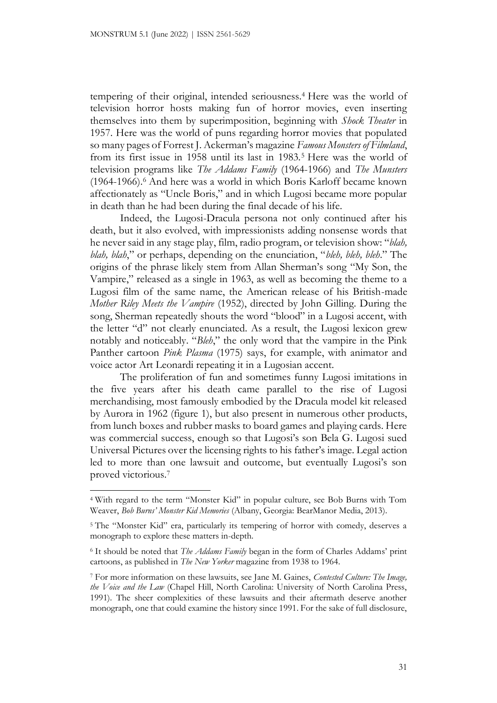tempering of their original, intended seriousness.<sup>4</sup> Here was the world of television horror hosts making fun of horror movies, even inserting themselves into them by superimposition, beginning with *Shock Theater* in 1957. Here was the world of puns regarding horror movies that populated so many pages of Forrest J. Ackerman's magazine *Famous Monsters of Filmland*, from its first issue in 1958 until its last in 1983.<sup>5</sup> Here was the world of television programs like *The Addams Family* (1964-1966) and *The Munsters* (1964-1966).<sup>6</sup> And here was a world in which Boris Karloff became known affectionately as "Uncle Boris," and in which Lugosi became more popular in death than he had been during the final decade of his life.

Indeed, the Lugosi-Dracula persona not only continued after his death, but it also evolved, with impressionists adding nonsense words that he never said in any stage play, film, radio program, or television show: "*blah, blah, blah*," or perhaps, depending on the enunciation, "*bleh, bleh, bleh*." The origins of the phrase likely stem from Allan Sherman's song "My Son, the Vampire," released as a single in 1963, as well as becoming the theme to a Lugosi film of the same name, the American release of his British-made *Mother Riley Meets the Vampire* (1952), directed by John Gilling. During the song, Sherman repeatedly shouts the word "blood" in a Lugosi accent, with the letter "d" not clearly enunciated. As a result, the Lugosi lexicon grew notably and noticeably. "*Bleh*," the only word that the vampire in the Pink Panther cartoon *Pink Plasma* (1975) says, for example, with animator and voice actor Art Leonardi repeating it in a Lugosian accent.

The proliferation of fun and sometimes funny Lugosi imitations in the five years after his death came parallel to the rise of Lugosi merchandising, most famously embodied by the Dracula model kit released by Aurora in 1962 (figure 1), but also present in numerous other products, from lunch boxes and rubber masks to board games and playing cards. Here was commercial success, enough so that Lugosi's son Bela G. Lugosi sued Universal Pictures over the licensing rights to his father's image. Legal action led to more than one lawsuit and outcome, but eventually Lugosi's son proved victorious.<sup>7</sup>

<sup>4</sup> With regard to the term "Monster Kid" in popular culture, see Bob Burns with Tom Weaver, *Bob Burns' Monster Kid Memories* (Albany, Georgia: BearManor Media, 2013).

<sup>5</sup> The "Monster Kid" era, particularly its tempering of horror with comedy, deserves a monograph to explore these matters in-depth.

<sup>6</sup> It should be noted that *The Addams Family* began in the form of Charles Addams' print cartoons, as published in *The New Yorker* magazine from 1938 to 1964.

<sup>7</sup> For more information on these lawsuits, see Jane M. Gaines, *Contested Culture: The Image, the Voice and the Law* (Chapel Hill, North Carolina: University of North Carolina Press, 1991). The sheer complexities of these lawsuits and their aftermath deserve another monograph, one that could examine the history since 1991. For the sake of full disclosure,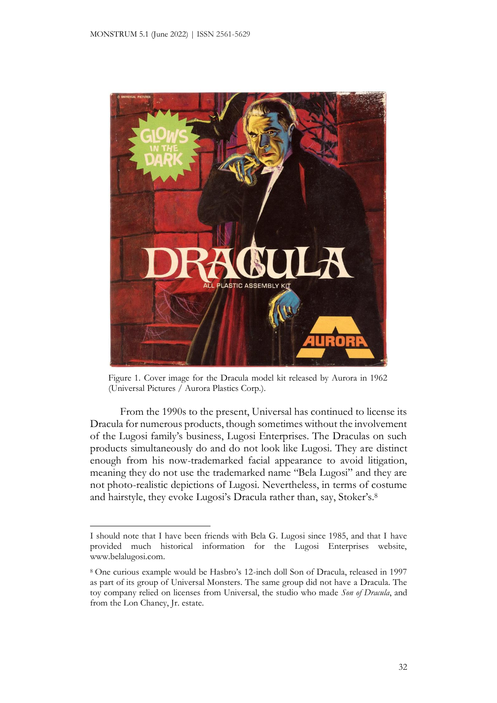

Figure 1. Cover image for the Dracula model kit released by Aurora in 1962 (Universal Pictures / Aurora Plastics Corp.).

From the 1990s to the present, Universal has continued to license its Dracula for numerous products, though sometimes without the involvement of the Lugosi family's business, Lugosi Enterprises. The Draculas on such products simultaneously do and do not look like Lugosi. They are distinct enough from his now-trademarked facial appearance to avoid litigation, meaning they do not use the trademarked name "Bela Lugosi" and they are not photo-realistic depictions of Lugosi. Nevertheless, in terms of costume and hairstyle, they evoke Lugosi's Dracula rather than, say, Stoker's.<sup>8</sup>

I should note that I have been friends with Bela G. Lugosi since 1985, and that I have provided much historical information for the Lugosi Enterprises website, www.belalugosi.com.

<sup>8</sup> One curious example would be Hasbro's 12-inch doll Son of Dracula, released in 1997 as part of its group of Universal Monsters. The same group did not have a Dracula. The toy company relied on licenses from Universal, the studio who made *Son of Dracula*, and from the Lon Chaney, Jr. estate.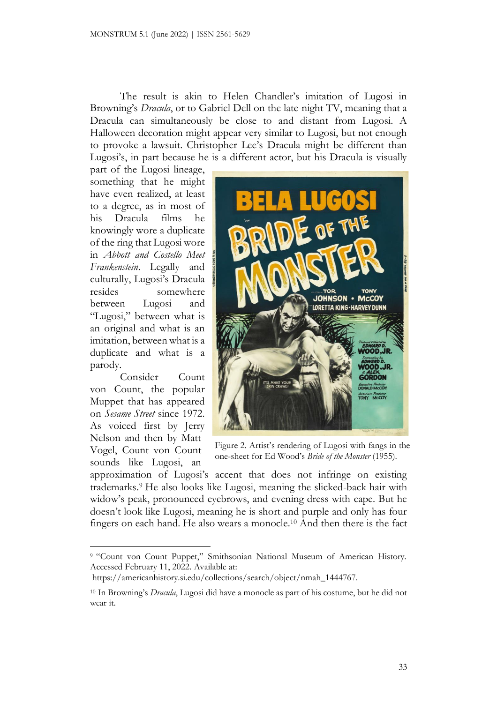The result is akin to Helen Chandler's imitation of Lugosi in Browning's *Dracula*, or to Gabriel Dell on the late-night TV, meaning that a Dracula can simultaneously be close to and distant from Lugosi. A Halloween decoration might appear very similar to Lugosi, but not enough to provoke a lawsuit. Christopher Lee's Dracula might be different than Lugosi's, in part because he is a different actor, but his Dracula is visually

part of the Lugosi lineage, something that he might have even realized, at least to a degree, as in most of his Dracula films he knowingly wore a duplicate of the ring that Lugosi wore in *Abbott and Costello Meet Frankenstein*. Legally and culturally, Lugosi's Dracula resides somewhere between Lugosi and "Lugosi," between what is an original and what is an imitation, between what is a duplicate and what is a parody.

Consider Count von Count, the popular Muppet that has appeared on *Sesame Street* since 1972. As voiced first by Jerry Nelson and then by Matt Vogel, Count von Count sounds like Lugosi, an



Figure 2. Artist's rendering of Lugosi with fangs in the one-sheet for Ed Wood's *Bride of the Monster* (1955).

approximation of Lugosi's accent that does not infringe on existing trademarks.<sup>9</sup> He also looks like Lugosi, meaning the slicked-back hair with widow's peak, pronounced eyebrows, and evening dress with cape. But he doesn't look like Lugosi, meaning he is short and purple and only has four fingers on each hand. He also wears a monocle.<sup>10</sup> And then there is the fact

<sup>9</sup> "Count von Count Puppet," Smithsonian National Museum of American History. Accessed February 11, 2022. Available at:

https://americanhistory.si.edu/collections/search/object/nmah\_1444767.

<sup>10</sup> In Browning's *Dracula*, Lugosi did have a monocle as part of his costume, but he did not wear it.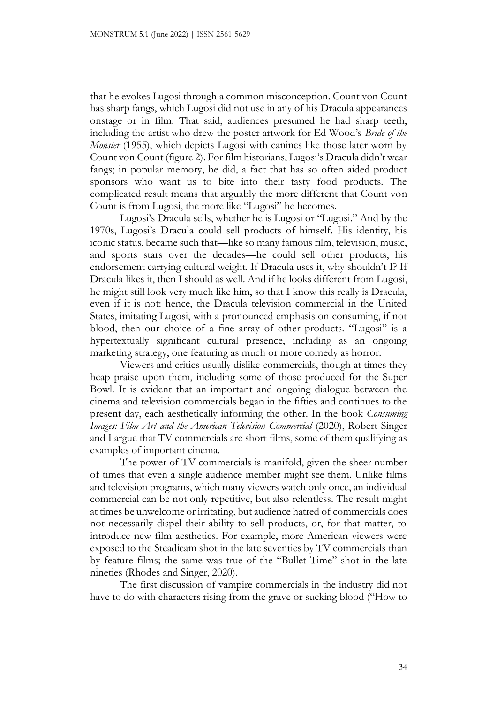that he evokes Lugosi through a common misconception. Count von Count has sharp fangs, which Lugosi did not use in any of his Dracula appearances onstage or in film. That said, audiences presumed he had sharp teeth, including the artist who drew the poster artwork for Ed Wood's *Bride of the Monster* (1955), which depicts Lugosi with canines like those later worn by Count von Count (figure 2). For film historians, Lugosi's Dracula didn't wear fangs; in popular memory, he did, a fact that has so often aided product sponsors who want us to bite into their tasty food products. The complicated result means that arguably the more different that Count von Count is from Lugosi, the more like "Lugosi" he becomes.

Lugosi's Dracula sells, whether he is Lugosi or "Lugosi." And by the 1970s, Lugosi's Dracula could sell products of himself. His identity, his iconic status, became such that—like so many famous film, television, music, and sports stars over the decades—he could sell other products, his endorsement carrying cultural weight. If Dracula uses it, why shouldn't I? If Dracula likes it, then I should as well. And if he looks different from Lugosi, he might still look very much like him, so that I know this really is Dracula, even if it is not: hence, the Dracula television commercial in the United States, imitating Lugosi, with a pronounced emphasis on consuming, if not blood, then our choice of a fine array of other products. "Lugosi" is a hypertextually significant cultural presence, including as an ongoing marketing strategy, one featuring as much or more comedy as horror.

Viewers and critics usually dislike commercials, though at times they heap praise upon them, including some of those produced for the Super Bowl. It is evident that an important and ongoing dialogue between the cinema and television commercials began in the fifties and continues to the present day, each aesthetically informing the other. In the book *Consuming Images: Film Art and the American Television Commercial* (2020), Robert Singer and I argue that TV commercials are short films, some of them qualifying as examples of important cinema.

The power of TV commercials is manifold, given the sheer number of times that even a single audience member might see them. Unlike films and television programs, which many viewers watch only once, an individual commercial can be not only repetitive, but also relentless. The result might at times be unwelcome or irritating, but audience hatred of commercials does not necessarily dispel their ability to sell products, or, for that matter, to introduce new film aesthetics. For example, more American viewers were exposed to the Steadicam shot in the late seventies by TV commercials than by feature films; the same was true of the "Bullet Time" shot in the late nineties (Rhodes and Singer, 2020).

The first discussion of vampire commercials in the industry did not have to do with characters rising from the grave or sucking blood ("How to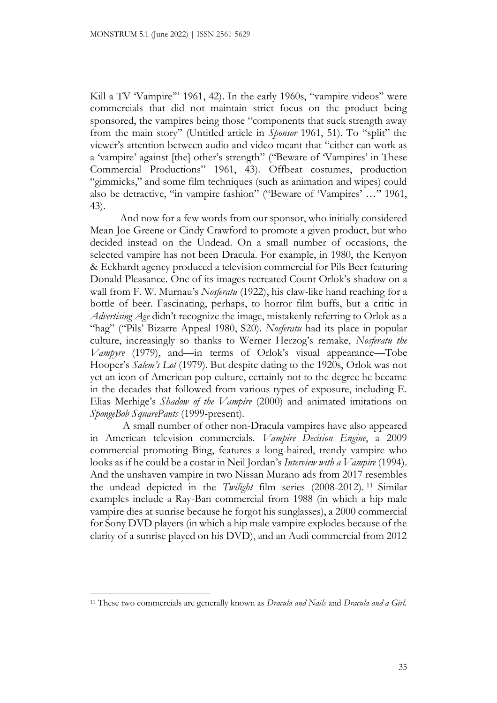Kill a TV 'Vampire'" 1961, 42). In the early 1960s, "vampire videos" were commercials that did not maintain strict focus on the product being sponsored, the vampires being those "components that suck strength away from the main story" (Untitled article in *Sponsor* 1961, 51). To "split" the viewer's attention between audio and video meant that "either can work as a 'vampire' against [the] other's strength" ("Beware of 'Vampires' in These Commercial Productions" 1961, 43). Offbeat costumes, production "gimmicks," and some film techniques (such as animation and wipes) could also be detractive, "in vampire fashion" ("Beware of 'Vampires' …" 1961, 43).

And now for a few words from our sponsor, who initially considered Mean Joe Greene or Cindy Crawford to promote a given product, but who decided instead on the Undead. On a small number of occasions, the selected vampire has not been Dracula. For example, in 1980, the Kenyon & Eckhardt agency produced a television commercial for Pils Beer featuring Donald Pleasance. One of its images recreated Count Orlok's shadow on a wall from F. W. Murnau's *Nosferatu* (1922), his claw-like hand reaching for a bottle of beer. Fascinating, perhaps, to horror film buffs, but a critic in *Advertising Age* didn't recognize the image, mistakenly referring to Orlok as a "hag" ("Pils' Bizarre Appeal 1980, S20). *Nosferatu* had its place in popular culture, increasingly so thanks to Werner Herzog's remake, *Nosferatu the Vampyre* (1979), and—in terms of Orlok's visual appearance—Tobe Hooper's *Salem's Lot* (1979). But despite dating to the 1920s, Orlok was not yet an icon of American pop culture, certainly not to the degree he became in the decades that followed from various types of exposure, including E. Elias Merhige's *Shadow of the Vampire* (2000) and animated imitations on *SpongeBob SquarePants* (1999-present).

A small number of other non-Dracula vampires have also appeared in American television commercials. *Vampire Decision Engine*, a 2009 commercial promoting Bing, features a long-haired, trendy vampire who looks as if he could be a costar in Neil Jordan's *Interview with a Vampire* (1994). And the unshaven vampire in two Nissan Murano ads from 2017 resembles the undead depicted in the *Twilight* film series (2008-2012). <sup>11</sup> Similar examples include a Ray-Ban commercial from 1988 (in which a hip male vampire dies at sunrise because he forgot his sunglasses), a 2000 commercial for Sony DVD players (in which a hip male vampire explodes because of the clarity of a sunrise played on his DVD), and an Audi commercial from 2012

<sup>11</sup> These two commercials are generally known as *Dracula and Nails* and *Dracula and a Girl.*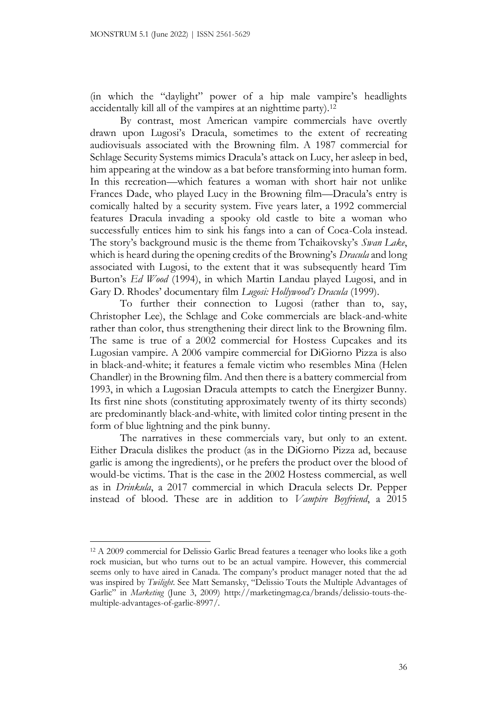(in which the "daylight" power of a hip male vampire's headlights accidentally kill all of the vampires at an nighttime party).<sup>12</sup>

By contrast, most American vampire commercials have overtly drawn upon Lugosi's Dracula, sometimes to the extent of recreating audiovisuals associated with the Browning film. A 1987 commercial for Schlage Security Systems mimics Dracula's attack on Lucy, her asleep in bed, him appearing at the window as a bat before transforming into human form. In this recreation—which features a woman with short hair not unlike Frances Dade, who played Lucy in the Browning film—Dracula's entry is comically halted by a security system. Five years later, a 1992 commercial features Dracula invading a spooky old castle to bite a woman who successfully entices him to sink his fangs into a can of Coca-Cola instead. The story's background music is the theme from Tchaikovsky's *Swan Lake*, which is heard during the opening credits of the Browning's *Dracula* and long associated with Lugosi, to the extent that it was subsequently heard Tim Burton's *Ed Wood* (1994), in which Martin Landau played Lugosi, and in Gary D. Rhodes' documentary film *Lugosi: Hollywood's Dracula* (1999).

To further their connection to Lugosi (rather than to, say, Christopher Lee), the Schlage and Coke commercials are black-and-white rather than color, thus strengthening their direct link to the Browning film. The same is true of a 2002 commercial for Hostess Cupcakes and its Lugosian vampire. A 2006 vampire commercial for DiGiorno Pizza is also in black-and-white; it features a female victim who resembles Mina (Helen Chandler) in the Browning film. And then there is a battery commercial from 1993, in which a Lugosian Dracula attempts to catch the Energizer Bunny. Its first nine shots (constituting approximately twenty of its thirty seconds) are predominantly black-and-white, with limited color tinting present in the form of blue lightning and the pink bunny.

The narratives in these commercials vary, but only to an extent. Either Dracula dislikes the product (as in the DiGiorno Pizza ad, because garlic is among the ingredients), or he prefers the product over the blood of would-be victims. That is the case in the 2002 Hostess commercial, as well as in *Drinkula*, a 2017 commercial in which Dracula selects Dr. Pepper instead of blood. These are in addition to *Vampire Boyfriend*, a 2015

<sup>12</sup> A 2009 commercial for Delissio Garlic Bread features a teenager who looks like a goth rock musician, but who turns out to be an actual vampire. However, this commercial seems only to have aired in Canada. The company's product manager noted that the ad was inspired by *Twilight*. See Matt Semansky, "Delissio Touts the Multiple Advantages of Garlic" in *Marketing* (June 3, 2009) http://marketingmag.ca/brands/delissio-touts-themultiple-advantages-of-garlic-8997/.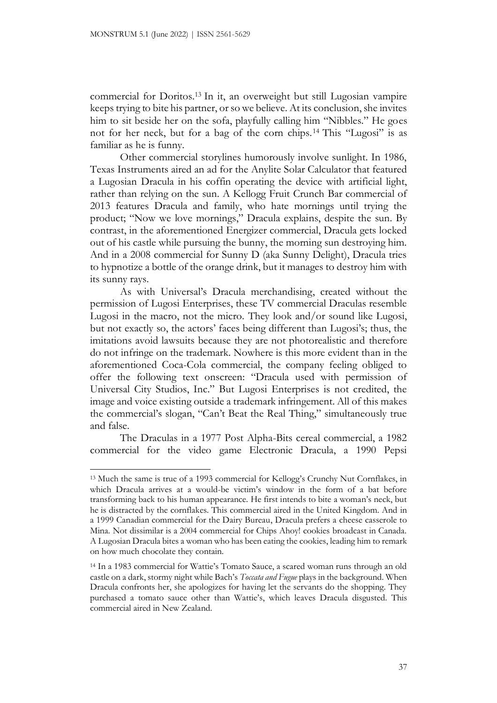commercial for Doritos.<sup>13</sup> In it, an overweight but still Lugosian vampire keeps trying to bite his partner, or so we believe. At its conclusion, she invites him to sit beside her on the sofa, playfully calling him "Nibbles." He goes not for her neck, but for a bag of the corn chips.<sup>14</sup> This "Lugosi" is as familiar as he is funny.

Other commercial storylines humorously involve sunlight. In 1986, Texas Instruments aired an ad for the Anylite Solar Calculator that featured a Lugosian Dracula in his coffin operating the device with artificial light, rather than relying on the sun. A Kellogg Fruit Crunch Bar commercial of 2013 features Dracula and family, who hate mornings until trying the product; "Now we love mornings," Dracula explains, despite the sun. By contrast, in the aforementioned Energizer commercial, Dracula gets locked out of his castle while pursuing the bunny, the morning sun destroying him. And in a 2008 commercial for Sunny D (aka Sunny Delight), Dracula tries to hypnotize a bottle of the orange drink, but it manages to destroy him with its sunny rays.

As with Universal's Dracula merchandising, created without the permission of Lugosi Enterprises, these TV commercial Draculas resemble Lugosi in the macro, not the micro. They look and/or sound like Lugosi, but not exactly so, the actors' faces being different than Lugosi's; thus, the imitations avoid lawsuits because they are not photorealistic and therefore do not infringe on the trademark. Nowhere is this more evident than in the aforementioned Coca-Cola commercial, the company feeling obliged to offer the following text onscreen: "Dracula used with permission of Universal City Studios, Inc." But Lugosi Enterprises is not credited, the image and voice existing outside a trademark infringement. All of this makes the commercial's slogan, "Can't Beat the Real Thing," simultaneously true and false.

The Draculas in a 1977 Post Alpha-Bits cereal commercial, a 1982 commercial for the video game Electronic Dracula, a 1990 Pepsi

<sup>13</sup> Much the same is true of a 1993 commercial for Kellogg's Crunchy Nut Cornflakes, in which Dracula arrives at a would-be victim's window in the form of a bat before transforming back to his human appearance. He first intends to bite a woman's neck, but he is distracted by the cornflakes. This commercial aired in the United Kingdom. And in a 1999 Canadian commercial for the Dairy Bureau, Dracula prefers a cheese casserole to Mina. Not dissimilar is a 2004 commercial for Chips Ahoy! cookies broadcast in Canada. A Lugosian Dracula bites a woman who has been eating the cookies, leading him to remark on how much chocolate they contain.

<sup>14</sup> In a 1983 commercial for Wattie's Tomato Sauce, a scared woman runs through an old castle on a dark, stormy night while Bach's *Toccata and Fugue* plays in the background. When Dracula confronts her, she apologizes for having let the servants do the shopping. They purchased a tomato sauce other than Wattie's, which leaves Dracula disgusted. This commercial aired in New Zealand.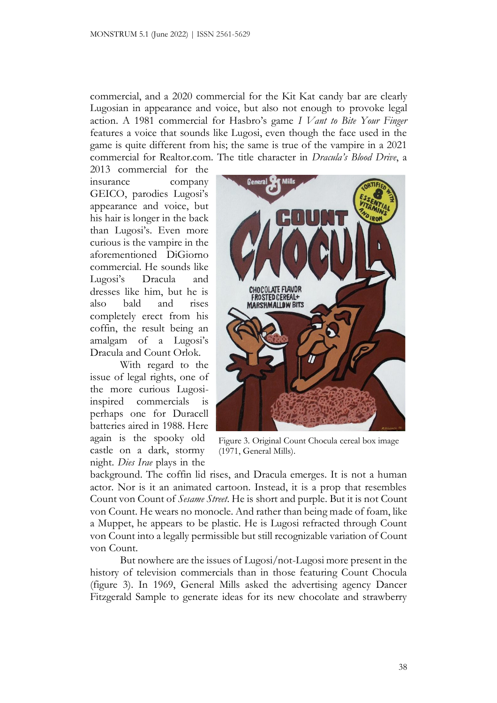commercial, and a 2020 commercial for the Kit Kat candy bar are clearly Lugosian in appearance and voice, but also not enough to provoke legal action. A 1981 commercial for Hasbro's game *I Vant to Bite Your Finger* features a voice that sounds like Lugosi, even though the face used in the game is quite different from his; the same is true of the vampire in a 2021 commercial for Realtor.com. The title character in *Dracula's Blood Drive*, a

2013 commercial for the insurance company GEICO, parodies Lugosi's appearance and voice, but his hair is longer in the back than Lugosi's. Even more curious is the vampire in the aforementioned DiGiorno commercial. He sounds like Lugosi's Dracula and dresses like him, but he is also bald and rises completely erect from his coffin, the result being an amalgam of a Lugosi's Dracula and Count Orlok.

With regard to the issue of legal rights, one of the more curious Lugosiinspired commercials is perhaps one for Duracell batteries aired in 1988. Here again is the spooky old castle on a dark, stormy night. *Dies Irae* plays in the



Figure 3. Original Count Chocula cereal box image (1971, General Mills).

background. The coffin lid rises, and Dracula emerges. It is not a human actor. Nor is it an animated cartoon. Instead, it is a prop that resembles Count von Count of *Sesame Street*. He is short and purple. But it is not Count von Count. He wears no monocle. And rather than being made of foam, like a Muppet, he appears to be plastic. He is Lugosi refracted through Count von Count into a legally permissible but still recognizable variation of Count von Count.

But nowhere are the issues of Lugosi/not-Lugosi more present in the history of television commercials than in those featuring Count Chocula (figure 3). In 1969, General Mills asked the advertising agency Dancer Fitzgerald Sample to generate ideas for its new chocolate and strawberry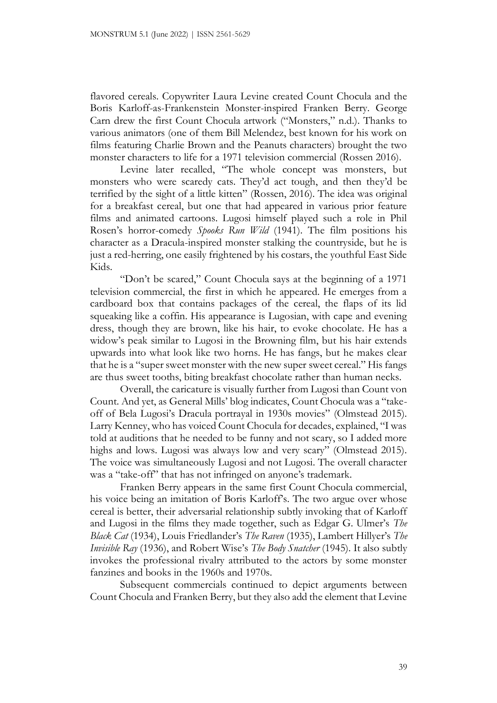flavored cereals. Copywriter Laura Levine created Count Chocula and the Boris Karloff-as-Frankenstein Monster-inspired Franken Berry. George Carn drew the first Count Chocula artwork ("Monsters," n.d.). Thanks to various animators (one of them Bill Melendez, best known for his work on films featuring Charlie Brown and the Peanuts characters) brought the two monster characters to life for a 1971 television commercial (Rossen 2016).

Levine later recalled, "The whole concept was monsters, but monsters who were scaredy cats. They'd act tough, and then they'd be terrified by the sight of a little kitten" (Rossen, 2016). The idea was original for a breakfast cereal, but one that had appeared in various prior feature films and animated cartoons. Lugosi himself played such a role in Phil Rosen's horror-comedy *Spooks Run Wild* (1941). The film positions his character as a Dracula-inspired monster stalking the countryside, but he is just a red-herring, one easily frightened by his costars, the youthful East Side Kids.

"Don't be scared," Count Chocula says at the beginning of a 1971 television commercial, the first in which he appeared. He emerges from a cardboard box that contains packages of the cereal, the flaps of its lid squeaking like a coffin. His appearance is Lugosian, with cape and evening dress, though they are brown, like his hair, to evoke chocolate. He has a widow's peak similar to Lugosi in the Browning film, but his hair extends upwards into what look like two horns. He has fangs, but he makes clear that he is a "super sweet monster with the new super sweet cereal." His fangs are thus sweet tooths, biting breakfast chocolate rather than human necks.

Overall, the caricature is visually further from Lugosi than Count von Count. And yet, as General Mills' blog indicates, Count Chocula was a "takeoff of Bela Lugosi's Dracula portrayal in 1930s movies" (Olmstead 2015). Larry Kenney, who has voiced Count Chocula for decades, explained, "I was told at auditions that he needed to be funny and not scary, so I added more highs and lows. Lugosi was always low and very scary" (Olmstead 2015). The voice was simultaneously Lugosi and not Lugosi. The overall character was a "take-off" that has not infringed on anyone's trademark.

Franken Berry appears in the same first Count Chocula commercial, his voice being an imitation of Boris Karloff's. The two argue over whose cereal is better, their adversarial relationship subtly invoking that of Karloff and Lugosi in the films they made together, such as Edgar G. Ulmer's *The Black Cat* (1934), Louis Friedlander's *The Raven* (1935), Lambert Hillyer's *The Invisible Ray* (1936), and Robert Wise's *The Body Snatcher* (1945). It also subtly invokes the professional rivalry attributed to the actors by some monster fanzines and books in the 1960s and 1970s.

Subsequent commercials continued to depict arguments between Count Chocula and Franken Berry, but they also add the element that Levine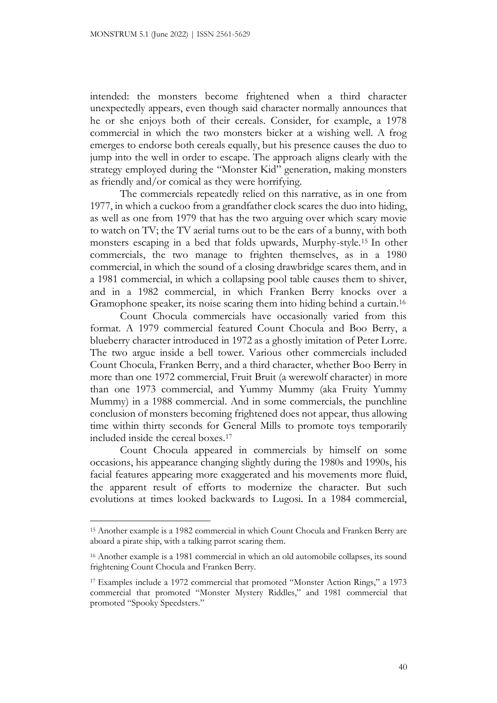intended: the monsters become frightened when a third character unexpectedly appears, even though said character normally announces that he or she enjoys both of their cereals. Consider, for example, a 1978 commercial in which the two monsters bicker at a wishing well. A frog emerges to endorse both cereals equally, but his presence causes the duo to jump into the well in order to escape. The approach aligns clearly with the strategy employed during the "Monster Kid" generation, making monsters as friendly and/or comical as they were horrifying.

The commercials repeatedly relied on this narrative, as in one from 1977, in which a cuckoo from a grandfather clock scares the duo into hiding, as well as one from 1979 that has the two arguing over which scary movie to watch on TV; the TV aerial turns out to be the ears of a bunny, with both monsters escaping in a bed that folds upwards, Murphy-style.<sup>15</sup> In other commercials, the two manage to frighten themselves, as in a 1980 commercial, in which the sound of a closing drawbridge scares them, and in a 1981 commercial, in which a collapsing pool table causes them to shiver, and in a 1982 commercial, in which Franken Berry knocks over a Gramophone speaker, its noise scaring them into hiding behind a curtain.<sup>16</sup>

Count Chocula commercials have occasionally varied from this format. A 1979 commercial featured Count Chocula and Boo Berry, a blueberry character introduced in 1972 as a ghostly imitation of Peter Lorre. The two argue inside a bell tower. Various other commercials included Count Chocula, Franken Berry, and a third character, whether Boo Berry in more than one 1972 commercial, Fruit Bruit (a werewolf character) in more than one 1973 commercial, and Yummy Mummy (aka Fruity Yummy Mummy) in a 1988 commercial. And in some commercials, the punchline conclusion of monsters becoming frightened does not appear, thus allowing time within thirty seconds for General Mills to promote toys temporarily included inside the cereal boxes.<sup>17</sup>

Count Chocula appeared in commercials by himself on some occasions, his appearance changing slightly during the 1980s and 1990s, his facial features appearing more exaggerated and his movements more fluid, the apparent result of efforts to modernize the character. But such evolutions at times looked backwards to Lugosi. In a 1984 commercial,

<sup>15</sup> Another example is a 1982 commercial in which Count Chocula and Franken Berry are aboard a pirate ship, with a talking parrot scaring them.

<sup>&</sup>lt;sup>16</sup> Another example is a 1981 commercial in which an old automobile collapses, its sound frightening Count Chocula and Franken Berry.

<sup>17</sup> Examples include a 1972 commercial that promoted "Monster Action Rings," a 1973 commercial that promoted "Monster Mystery Riddles," and 1981 commercial that promoted "Spooky Speedsters."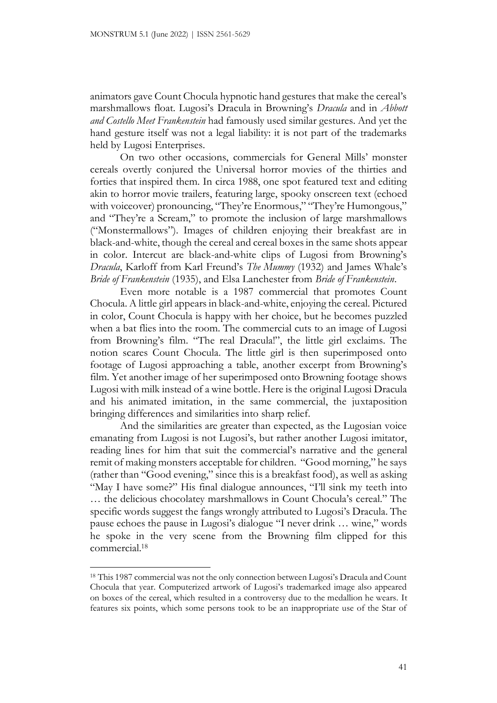animators gave Count Chocula hypnotic hand gestures that make the cereal's marshmallows float. Lugosi's Dracula in Browning's *Dracula* and in *Abbott and Costello Meet Frankenstein* had famously used similar gestures. And yet the hand gesture itself was not a legal liability: it is not part of the trademarks held by Lugosi Enterprises.

On two other occasions, commercials for General Mills' monster cereals overtly conjured the Universal horror movies of the thirties and forties that inspired them. In circa 1988, one spot featured text and editing akin to horror movie trailers, featuring large, spooky onscreen text (echoed with voiceover) pronouncing, "They're Enormous," "They're Humongous," and "They're a Scream," to promote the inclusion of large marshmallows ("Monstermallows"). Images of children enjoying their breakfast are in black-and-white, though the cereal and cereal boxes in the same shots appear in color. Intercut are black-and-white clips of Lugosi from Browning's *Dracula*, Karloff from Karl Freund's *The Mummy* (1932) and James Whale's *Bride of Frankenstein* (1935), and Elsa Lanchester from *Bride of Frankenstein*.

Even more notable is a 1987 commercial that promotes Count Chocula. A little girl appears in black-and-white, enjoying the cereal. Pictured in color, Count Chocula is happy with her choice, but he becomes puzzled when a bat flies into the room. The commercial cuts to an image of Lugosi from Browning's film. "The real Dracula!", the little girl exclaims. The notion scares Count Chocula. The little girl is then superimposed onto footage of Lugosi approaching a table, another excerpt from Browning's film. Yet another image of her superimposed onto Browning footage shows Lugosi with milk instead of a wine bottle. Here is the original Lugosi Dracula and his animated imitation, in the same commercial, the juxtaposition bringing differences and similarities into sharp relief.

And the similarities are greater than expected, as the Lugosian voice emanating from Lugosi is not Lugosi's, but rather another Lugosi imitator, reading lines for him that suit the commercial's narrative and the general remit of making monsters acceptable for children. "Good morning," he says (rather than "Good evening," since this is a breakfast food), as well as asking "May I have some?" His final dialogue announces, "I'll sink my teeth into … the delicious chocolatey marshmallows in Count Chocula's cereal." The specific words suggest the fangs wrongly attributed to Lugosi's Dracula. The pause echoes the pause in Lugosi's dialogue "I never drink … wine," words he spoke in the very scene from the Browning film clipped for this commercial.<sup>18</sup>

<sup>18</sup> This 1987 commercial was not the only connection between Lugosi's Dracula and Count Chocula that year. Computerized artwork of Lugosi's trademarked image also appeared on boxes of the cereal, which resulted in a controversy due to the medallion he wears. It features six points, which some persons took to be an inappropriate use of the Star of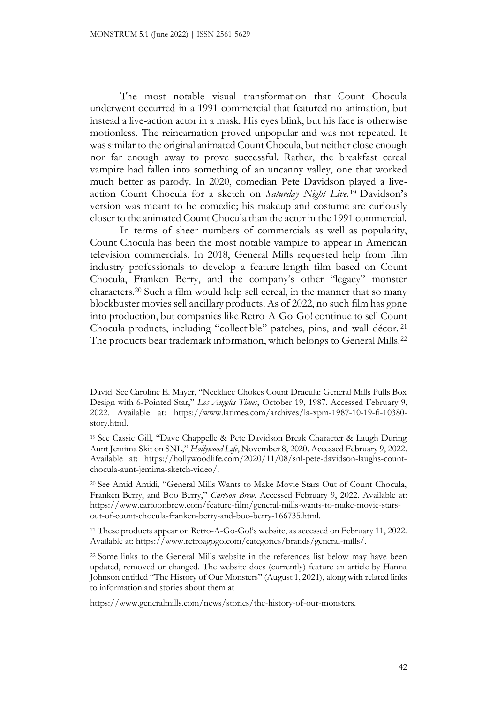The most notable visual transformation that Count Chocula underwent occurred in a 1991 commercial that featured no animation, but instead a live-action actor in a mask. His eyes blink, but his face is otherwise motionless. The reincarnation proved unpopular and was not repeated. It was similar to the original animated Count Chocula, but neither close enough nor far enough away to prove successful. Rather, the breakfast cereal vampire had fallen into something of an uncanny valley, one that worked much better as parody. In 2020, comedian Pete Davidson played a liveaction Count Chocula for a sketch on *Saturday Night Live*. <sup>19</sup> Davidson's version was meant to be comedic; his makeup and costume are curiously closer to the animated Count Chocula than the actor in the 1991 commercial.

In terms of sheer numbers of commercials as well as popularity, Count Chocula has been the most notable vampire to appear in American television commercials. In 2018, General Mills requested help from film industry professionals to develop a feature-length film based on Count Chocula, Franken Berry, and the company's other "legacy" monster characters.<sup>20</sup> Such a film would help sell cereal, in the manner that so many blockbuster movies sell ancillary products. As of 2022, no such film has gone into production, but companies like Retro-A-Go-Go! continue to sell Count Chocula products, including "collectible" patches, pins, and wall décor. <sup>21</sup> The products bear trademark information, which belongs to General Mills.<sup>22</sup>

David. See Caroline E. Mayer, "Necklace Chokes Count Dracula: General Mills Pulls Box Design with 6-Pointed Star," *Los Angeles Times*, October 19, 1987. Accessed February 9, 2022. Available at: https://www.latimes.com/archives/la-xpm-1987-10-19-fi-10380 story.html.

<sup>19</sup> See Cassie Gill, "Dave Chappelle & Pete Davidson Break Character & Laugh During Aunt Jemima Skit on SNL," *Hollywood Life*, November 8, 2020. Accessed February 9, 2022. Available at: https://hollywoodlife.com/2020/11/08/snl-pete-davidson-laughs-countchocula-aunt-jemima-sketch-video/.

<sup>20</sup> See Amid Amidi, "General Mills Wants to Make Movie Stars Out of Count Chocula, Franken Berry, and Boo Berry," *Cartoon Brew*. Accessed February 9, 2022. Available at: https://www.cartoonbrew.com/feature-film/general-mills-wants-to-make-movie-starsout-of-count-chocula-franken-berry-and-boo-berry-166735.html.

<sup>21</sup> These products appear on Retro-A-Go-Go!'s website, as accessed on February 11, 2022. Available at: https://www.retroagogo.com/categories/brands/general-mills/.

<sup>22</sup> Some links to the General Mills website in the references list below may have been updated, removed or changed. The website does (currently) feature an article by Hanna Johnson entitled "The History of Our Monsters" (August 1, 2021), along with related links to information and stories about them at

https://www.generalmills.com/news/stories/the-history-of-our-monsters.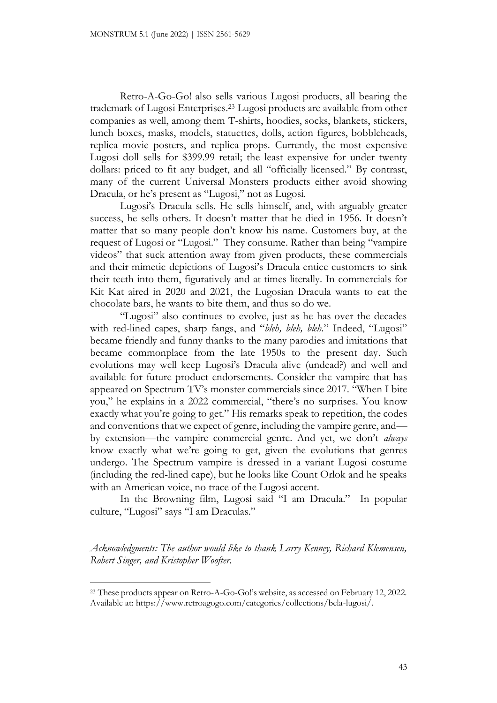Retro-A-Go-Go! also sells various Lugosi products, all bearing the trademark of Lugosi Enterprises.<sup>23</sup> Lugosi products are available from other companies as well, among them T-shirts, hoodies, socks, blankets, stickers, lunch boxes, masks, models, statuettes, dolls, action figures, bobbleheads, replica movie posters, and replica props. Currently, the most expensive Lugosi doll sells for \$399.99 retail; the least expensive for under twenty dollars: priced to fit any budget, and all "officially licensed." By contrast, many of the current Universal Monsters products either avoid showing Dracula, or he's present as "Lugosi," not as Lugosi.

Lugosi's Dracula sells. He sells himself, and, with arguably greater success, he sells others. It doesn't matter that he died in 1956. It doesn't matter that so many people don't know his name. Customers buy, at the request of Lugosi or "Lugosi." They consume. Rather than being "vampire videos" that suck attention away from given products, these commercials and their mimetic depictions of Lugosi's Dracula entice customers to sink their teeth into them, figuratively and at times literally. In commercials for Kit Kat aired in 2020 and 2021, the Lugosian Dracula wants to eat the chocolate bars, he wants to bite them, and thus so do we.

"Lugosi" also continues to evolve, just as he has over the decades with red-lined capes, sharp fangs, and "*bleh, bleh, bleh*." Indeed, "Lugosi" became friendly and funny thanks to the many parodies and imitations that became commonplace from the late 1950s to the present day. Such evolutions may well keep Lugosi's Dracula alive (undead?) and well and available for future product endorsements. Consider the vampire that has appeared on Spectrum TV's monster commercials since 2017. "When I bite you," he explains in a 2022 commercial, "there's no surprises. You know exactly what you're going to get." His remarks speak to repetition, the codes and conventions that we expect of genre, including the vampire genre, and by extension—the vampire commercial genre. And yet, we don't *always* know exactly what we're going to get, given the evolutions that genres undergo. The Spectrum vampire is dressed in a variant Lugosi costume (including the red-lined cape), but he looks like Count Orlok and he speaks with an American voice, no trace of the Lugosi accent.

In the Browning film, Lugosi said "I am Dracula." In popular culture, "Lugosi" says "I am Draculas."

*Acknowledgments: The author would like to thank Larry Kenney, Richard Klemensen, Robert Singer, and Kristopher Woofter.*

<sup>23</sup> These products appear on Retro-A-Go-Go!'s website, as accessed on February 12, 2022. Available at: https://www.retroagogo.com/categories/collections/bela-lugosi/.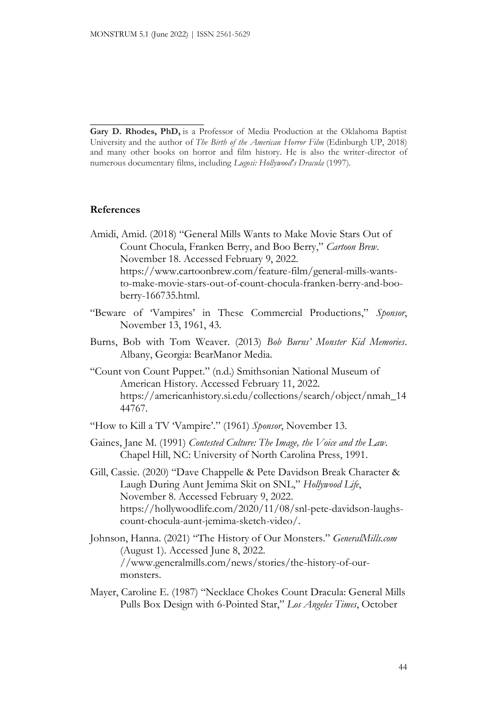\_\_\_\_\_\_\_\_\_\_\_\_\_\_\_\_\_\_\_\_\_

**Gary D. Rhodes, PhD,** is a Professor of Media Production at the Oklahoma Baptist University and the author of *The Birth of the American Horror Film* (Edinburgh UP, 2018) and many other books on horror and film history. He is also the writer-director of numerous documentary films, including *Lugosi: Hollywood's Dracula* (1997).

## **References**

- Amidi, Amid. (2018) "General Mills Wants to Make Movie Stars Out of Count Chocula, Franken Berry, and Boo Berry," *Cartoon Brew*. November 18. Accessed February 9, 2022. https://www.cartoonbrew.com/feature-film/general-mills-wantsto-make-movie-stars-out-of-count-chocula-franken-berry-and-booberry-166735.html.
- "Beware of 'Vampires' in These Commercial Productions," *Sponsor*, November 13, 1961, 43.
- Burns, Bob with Tom Weaver. (2013) *Bob Burns' Monster Kid Memories*. Albany, Georgia: BearManor Media.
- "Count von Count Puppet." (n.d.) Smithsonian National Museum of American History. Accessed February 11, 2022. https://americanhistory.si.edu/collections/search/object/nmah\_14 44767.
- "How to Kill a TV 'Vampire'." (1961) *Sponsor*, November 13.
- Gaines, Jane M. (1991) *Contested Culture: The Image, the Voice and the Law.*  Chapel Hill, NC: University of North Carolina Press, 1991.
- Gill, Cassie. (2020) "Dave Chappelle & Pete Davidson Break Character & Laugh During Aunt Jemima Skit on SNL," *Hollywood Life*, November 8. Accessed February 9, 2022. https://hollywoodlife.com/2020/11/08/snl-pete-davidson-laughscount-chocula-aunt-jemima-sketch-video/.
- Johnson, Hanna. (2021) "The History of Our Monsters." *GeneralMills.com* (August 1). Accessed June 8, 2022. //www.generalmills.com/news/stories/the-history-of-ourmonsters.
- Mayer, Caroline E. (1987) "Necklace Chokes Count Dracula: General Mills Pulls Box Design with 6-Pointed Star," *Los Angeles Times*, October